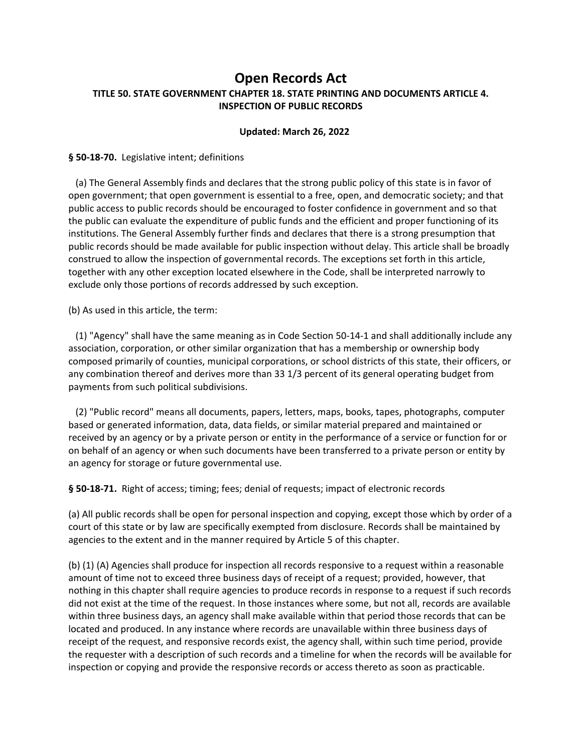# **Open Records Act TITLE 50. STATE GOVERNMENT CHAPTER 18. STATE PRINTING AND DOCUMENTS ARTICLE 4. INSPECTION OF PUBLIC RECORDS**

## **Updated: March 26, 2022**

### **§ 50‐18‐70.** Legislative intent; definitions

 (a) The General Assembly finds and declares that the strong public policy of this state is in favor of open government; that open government is essential to a free, open, and democratic society; and that public access to public records should be encouraged to foster confidence in government and so that the public can evaluate the expenditure of public funds and the efficient and proper functioning of its institutions. The General Assembly further finds and declares that there is a strong presumption that public records should be made available for public inspection without delay. This article shall be broadly construed to allow the inspection of governmental records. The exceptions set forth in this article, together with any other exception located elsewhere in the Code, shall be interpreted narrowly to exclude only those portions of records addressed by such exception.

(b) As used in this article, the term:

 (1) "Agency" shall have the same meaning as in Code Section 50‐14‐1 and shall additionally include any association, corporation, or other similar organization that has a membership or ownership body composed primarily of counties, municipal corporations, or school districts of this state, their officers, or any combination thereof and derives more than 33 1/3 percent of its general operating budget from payments from such political subdivisions.

 (2) "Public record" means all documents, papers, letters, maps, books, tapes, photographs, computer based or generated information, data, data fields, or similar material prepared and maintained or received by an agency or by a private person or entity in the performance of a service or function for or on behalf of an agency or when such documents have been transferred to a private person or entity by an agency for storage or future governmental use.

§ 50-18-71. Right of access; timing; fees; denial of requests; impact of electronic records

(a) All public records shall be open for personal inspection and copying, except those which by order of a court of this state or by law are specifically exempted from disclosure. Records shall be maintained by agencies to the extent and in the manner required by Article 5 of this chapter.

(b) (1) (A) Agencies shall produce for inspection all records responsive to a request within a reasonable amount of time not to exceed three business days of receipt of a request; provided, however, that nothing in this chapter shall require agencies to produce records in response to a request if such records did not exist at the time of the request. In those instances where some, but not all, records are available within three business days, an agency shall make available within that period those records that can be located and produced. In any instance where records are unavailable within three business days of receipt of the request, and responsive records exist, the agency shall, within such time period, provide the requester with a description of such records and a timeline for when the records will be available for inspection or copying and provide the responsive records or access thereto as soon as practicable.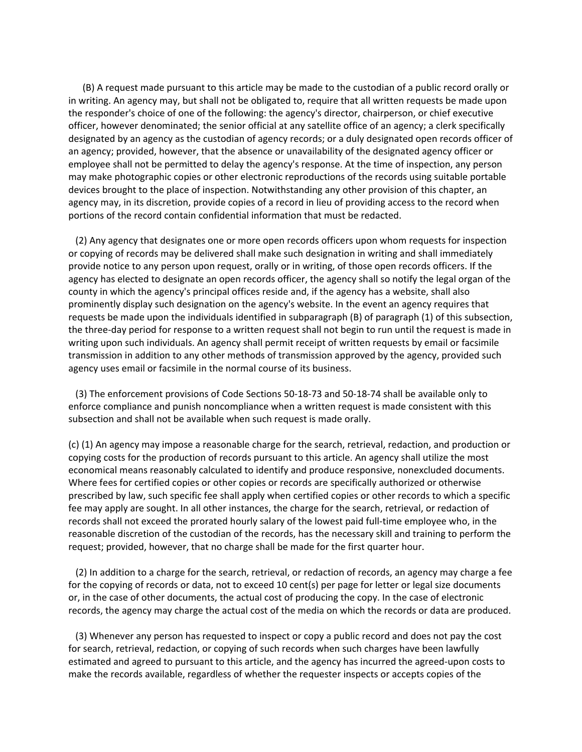(B) A request made pursuant to this article may be made to the custodian of a public record orally or in writing. An agency may, but shall not be obligated to, require that all written requests be made upon the responder's choice of one of the following: the agency's director, chairperson, or chief executive officer, however denominated; the senior official at any satellite office of an agency; a clerk specifically designated by an agency as the custodian of agency records; or a duly designated open records officer of an agency; provided, however, that the absence or unavailability of the designated agency officer or employee shall not be permitted to delay the agency's response. At the time of inspection, any person may make photographic copies or other electronic reproductions of the records using suitable portable devices brought to the place of inspection. Notwithstanding any other provision of this chapter, an agency may, in its discretion, provide copies of a record in lieu of providing access to the record when portions of the record contain confidential information that must be redacted.

 (2) Any agency that designates one or more open records officers upon whom requests for inspection or copying of records may be delivered shall make such designation in writing and shall immediately provide notice to any person upon request, orally or in writing, of those open records officers. If the agency has elected to designate an open records officer, the agency shall so notify the legal organ of the county in which the agency's principal offices reside and, if the agency has a website, shall also prominently display such designation on the agency's website. In the event an agency requires that requests be made upon the individuals identified in subparagraph (B) of paragraph (1) of this subsection, the three‐day period for response to a written request shall not begin to run until the request is made in writing upon such individuals. An agency shall permit receipt of written requests by email or facsimile transmission in addition to any other methods of transmission approved by the agency, provided such agency uses email or facsimile in the normal course of its business.

 (3) The enforcement provisions of Code Sections 50‐18‐73 and 50‐18‐74 shall be available only to enforce compliance and punish noncompliance when a written request is made consistent with this subsection and shall not be available when such request is made orally.

(c) (1) An agency may impose a reasonable charge for the search, retrieval, redaction, and production or copying costs for the production of records pursuant to this article. An agency shall utilize the most economical means reasonably calculated to identify and produce responsive, nonexcluded documents. Where fees for certified copies or other copies or records are specifically authorized or otherwise prescribed by law, such specific fee shall apply when certified copies or other records to which a specific fee may apply are sought. In all other instances, the charge for the search, retrieval, or redaction of records shall not exceed the prorated hourly salary of the lowest paid full‐time employee who, in the reasonable discretion of the custodian of the records, has the necessary skill and training to perform the request; provided, however, that no charge shall be made for the first quarter hour.

 (2) In addition to a charge for the search, retrieval, or redaction of records, an agency may charge a fee for the copying of records or data, not to exceed 10 cent(s) per page for letter or legal size documents or, in the case of other documents, the actual cost of producing the copy. In the case of electronic records, the agency may charge the actual cost of the media on which the records or data are produced.

 (3) Whenever any person has requested to inspect or copy a public record and does not pay the cost for search, retrieval, redaction, or copying of such records when such charges have been lawfully estimated and agreed to pursuant to this article, and the agency has incurred the agreed‐upon costs to make the records available, regardless of whether the requester inspects or accepts copies of the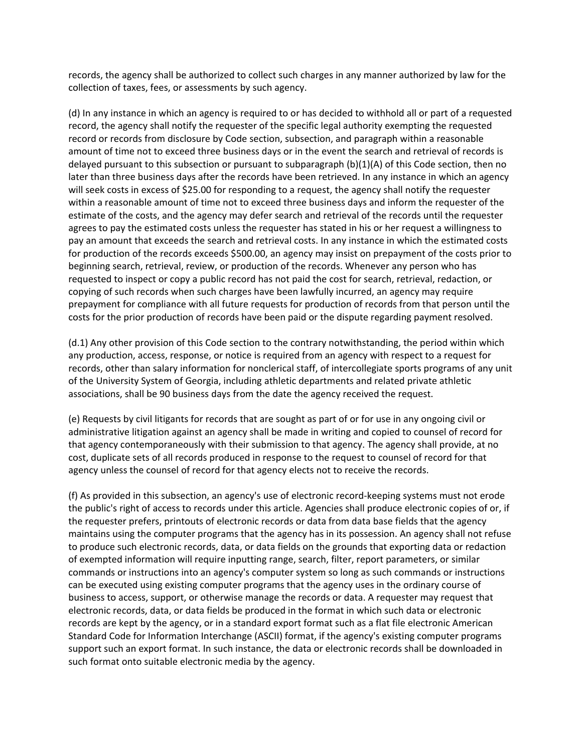records, the agency shall be authorized to collect such charges in any manner authorized by law for the collection of taxes, fees, or assessments by such agency.

(d) In any instance in which an agency is required to or has decided to withhold all or part of a requested record, the agency shall notify the requester of the specific legal authority exempting the requested record or records from disclosure by Code section, subsection, and paragraph within a reasonable amount of time not to exceed three business days or in the event the search and retrieval of records is delayed pursuant to this subsection or pursuant to subparagraph (b)(1)(A) of this Code section, then no later than three business days after the records have been retrieved. In any instance in which an agency will seek costs in excess of \$25.00 for responding to a request, the agency shall notify the requester within a reasonable amount of time not to exceed three business days and inform the requester of the estimate of the costs, and the agency may defer search and retrieval of the records until the requester agrees to pay the estimated costs unless the requester has stated in his or her request a willingness to pay an amount that exceeds the search and retrieval costs. In any instance in which the estimated costs for production of the records exceeds \$500.00, an agency may insist on prepayment of the costs prior to beginning search, retrieval, review, or production of the records. Whenever any person who has requested to inspect or copy a public record has not paid the cost for search, retrieval, redaction, or copying of such records when such charges have been lawfully incurred, an agency may require prepayment for compliance with all future requests for production of records from that person until the costs for the prior production of records have been paid or the dispute regarding payment resolved.

(d.1) Any other provision of this Code section to the contrary notwithstanding, the period within which any production, access, response, or notice is required from an agency with respect to a request for records, other than salary information for nonclerical staff, of intercollegiate sports programs of any unit of the University System of Georgia, including athletic departments and related private athletic associations, shall be 90 business days from the date the agency received the request.

(e) Requests by civil litigants for records that are sought as part of or for use in any ongoing civil or administrative litigation against an agency shall be made in writing and copied to counsel of record for that agency contemporaneously with their submission to that agency. The agency shall provide, at no cost, duplicate sets of all records produced in response to the request to counsel of record for that agency unless the counsel of record for that agency elects not to receive the records.

(f) As provided in this subsection, an agency's use of electronic record‐keeping systems must not erode the public's right of access to records under this article. Agencies shall produce electronic copies of or, if the requester prefers, printouts of electronic records or data from data base fields that the agency maintains using the computer programs that the agency has in its possession. An agency shall not refuse to produce such electronic records, data, or data fields on the grounds that exporting data or redaction of exempted information will require inputting range, search, filter, report parameters, or similar commands or instructions into an agency's computer system so long as such commands or instructions can be executed using existing computer programs that the agency uses in the ordinary course of business to access, support, or otherwise manage the records or data. A requester may request that electronic records, data, or data fields be produced in the format in which such data or electronic records are kept by the agency, or in a standard export format such as a flat file electronic American Standard Code for Information Interchange (ASCII) format, if the agency's existing computer programs support such an export format. In such instance, the data or electronic records shall be downloaded in such format onto suitable electronic media by the agency.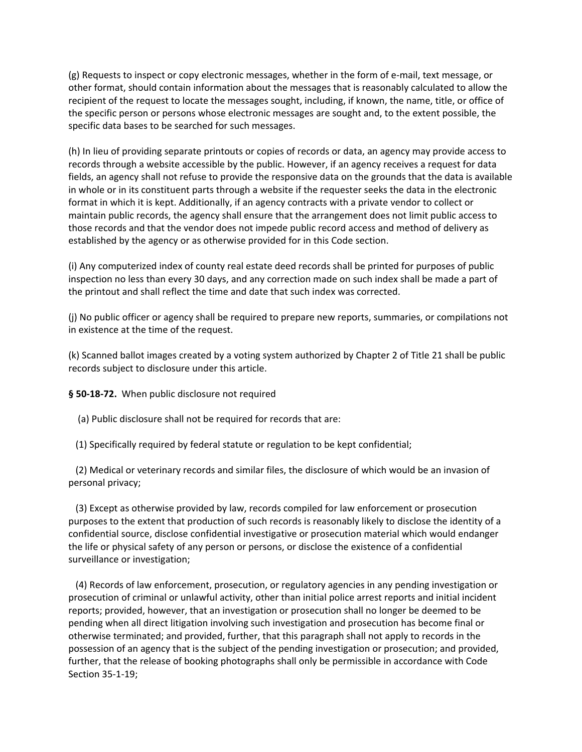(g) Requests to inspect or copy electronic messages, whether in the form of e‐mail, text message, or other format, should contain information about the messages that is reasonably calculated to allow the recipient of the request to locate the messages sought, including, if known, the name, title, or office of the specific person or persons whose electronic messages are sought and, to the extent possible, the specific data bases to be searched for such messages.

(h) In lieu of providing separate printouts or copies of records or data, an agency may provide access to records through a website accessible by the public. However, if an agency receives a request for data fields, an agency shall not refuse to provide the responsive data on the grounds that the data is available in whole or in its constituent parts through a website if the requester seeks the data in the electronic format in which it is kept. Additionally, if an agency contracts with a private vendor to collect or maintain public records, the agency shall ensure that the arrangement does not limit public access to those records and that the vendor does not impede public record access and method of delivery as established by the agency or as otherwise provided for in this Code section.

(i) Any computerized index of county real estate deed records shall be printed for purposes of public inspection no less than every 30 days, and any correction made on such index shall be made a part of the printout and shall reflect the time and date that such index was corrected.

(j) No public officer or agency shall be required to prepare new reports, summaries, or compilations not in existence at the time of the request.

(k) Scanned ballot images created by a voting system authorized by Chapter 2 of Title 21 shall be public records subject to disclosure under this article.

**§ 50‐18‐72.** When public disclosure not required

(a) Public disclosure shall not be required for records that are:

(1) Specifically required by federal statute or regulation to be kept confidential;

 (2) Medical or veterinary records and similar files, the disclosure of which would be an invasion of personal privacy;

 (3) Except as otherwise provided by law, records compiled for law enforcement or prosecution purposes to the extent that production of such records is reasonably likely to disclose the identity of a confidential source, disclose confidential investigative or prosecution material which would endanger the life or physical safety of any person or persons, or disclose the existence of a confidential surveillance or investigation;

 (4) Records of law enforcement, prosecution, or regulatory agencies in any pending investigation or prosecution of criminal or unlawful activity, other than initial police arrest reports and initial incident reports; provided, however, that an investigation or prosecution shall no longer be deemed to be pending when all direct litigation involving such investigation and prosecution has become final or otherwise terminated; and provided, further, that this paragraph shall not apply to records in the possession of an agency that is the subject of the pending investigation or prosecution; and provided, further, that the release of booking photographs shall only be permissible in accordance with Code Section 35‐1‐19;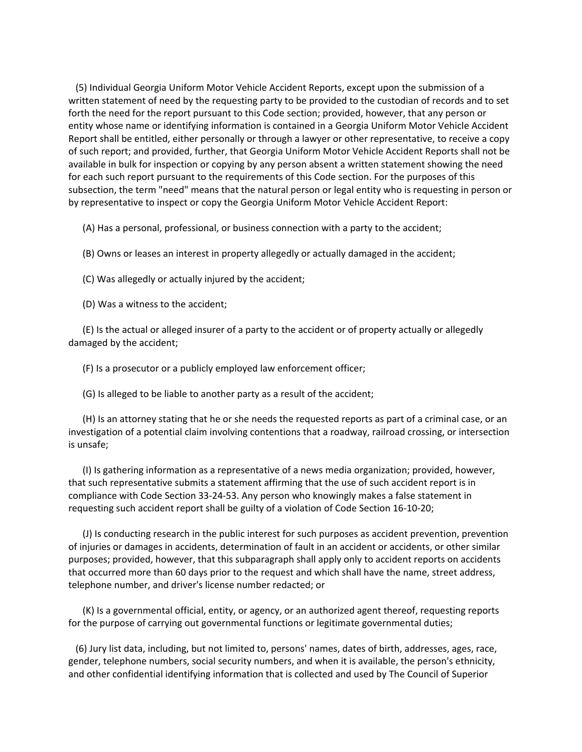(5) Individual Georgia Uniform Motor Vehicle Accident Reports, except upon the submission of a written statement of need by the requesting party to be provided to the custodian of records and to set forth the need for the report pursuant to this Code section; provided, however, that any person or entity whose name or identifying information is contained in a Georgia Uniform Motor Vehicle Accident Report shall be entitled, either personally or through a lawyer or other representative, to receive a copy of such report; and provided, further, that Georgia Uniform Motor Vehicle Accident Reports shall not be available in bulk for inspection or copying by any person absent a written statement showing the need for each such report pursuant to the requirements of this Code section. For the purposes of this subsection, the term "need" means that the natural person or legal entity who is requesting in person or by representative to inspect or copy the Georgia Uniform Motor Vehicle Accident Report:

(A) Has a personal, professional, or business connection with a party to the accident;

(B) Owns or leases an interest in property allegedly or actually damaged in the accident;

(C) Was allegedly or actually injured by the accident;

(D) Was a witness to the accident;

 (E) Is the actual or alleged insurer of a party to the accident or of property actually or allegedly damaged by the accident;

(F) Is a prosecutor or a publicly employed law enforcement officer;

(G) Is alleged to be liable to another party as a result of the accident;

 (H) Is an attorney stating that he or she needs the requested reports as part of a criminal case, or an investigation of a potential claim involving contentions that a roadway, railroad crossing, or intersection is unsafe;

 (I) Is gathering information as a representative of a news media organization; provided, however, that such representative submits a statement affirming that the use of such accident report is in compliance with Code Section 33‐24‐53. Any person who knowingly makes a false statement in requesting such accident report shall be guilty of a violation of Code Section 16‐10‐20;

 (J) Is conducting research in the public interest for such purposes as accident prevention, prevention of injuries or damages in accidents, determination of fault in an accident or accidents, or other similar purposes; provided, however, that this subparagraph shall apply only to accident reports on accidents that occurred more than 60 days prior to the request and which shall have the name, street address, telephone number, and driver's license number redacted; or

 (K) Is a governmental official, entity, or agency, or an authorized agent thereof, requesting reports for the purpose of carrying out governmental functions or legitimate governmental duties;

 (6) Jury list data, including, but not limited to, persons' names, dates of birth, addresses, ages, race, gender, telephone numbers, social security numbers, and when it is available, the person's ethnicity, and other confidential identifying information that is collected and used by The Council of Superior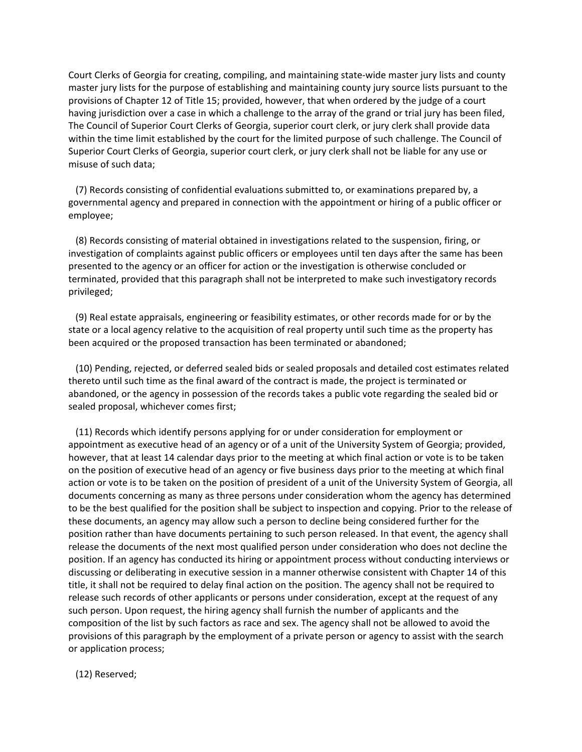Court Clerks of Georgia for creating, compiling, and maintaining state‐wide master jury lists and county master jury lists for the purpose of establishing and maintaining county jury source lists pursuant to the provisions of Chapter 12 of Title 15; provided, however, that when ordered by the judge of a court having jurisdiction over a case in which a challenge to the array of the grand or trial jury has been filed, The Council of Superior Court Clerks of Georgia, superior court clerk, or jury clerk shall provide data within the time limit established by the court for the limited purpose of such challenge. The Council of Superior Court Clerks of Georgia, superior court clerk, or jury clerk shall not be liable for any use or misuse of such data;

 (7) Records consisting of confidential evaluations submitted to, or examinations prepared by, a governmental agency and prepared in connection with the appointment or hiring of a public officer or employee;

 (8) Records consisting of material obtained in investigations related to the suspension, firing, or investigation of complaints against public officers or employees until ten days after the same has been presented to the agency or an officer for action or the investigation is otherwise concluded or terminated, provided that this paragraph shall not be interpreted to make such investigatory records privileged;

 (9) Real estate appraisals, engineering or feasibility estimates, or other records made for or by the state or a local agency relative to the acquisition of real property until such time as the property has been acquired or the proposed transaction has been terminated or abandoned;

 (10) Pending, rejected, or deferred sealed bids or sealed proposals and detailed cost estimates related thereto until such time as the final award of the contract is made, the project is terminated or abandoned, or the agency in possession of the records takes a public vote regarding the sealed bid or sealed proposal, whichever comes first;

 (11) Records which identify persons applying for or under consideration for employment or appointment as executive head of an agency or of a unit of the University System of Georgia; provided, however, that at least 14 calendar days prior to the meeting at which final action or vote is to be taken on the position of executive head of an agency or five business days prior to the meeting at which final action or vote is to be taken on the position of president of a unit of the University System of Georgia, all documents concerning as many as three persons under consideration whom the agency has determined to be the best qualified for the position shall be subject to inspection and copying. Prior to the release of these documents, an agency may allow such a person to decline being considered further for the position rather than have documents pertaining to such person released. In that event, the agency shall release the documents of the next most qualified person under consideration who does not decline the position. If an agency has conducted its hiring or appointment process without conducting interviews or discussing or deliberating in executive session in a manner otherwise consistent with Chapter 14 of this title, it shall not be required to delay final action on the position. The agency shall not be required to release such records of other applicants or persons under consideration, except at the request of any such person. Upon request, the hiring agency shall furnish the number of applicants and the composition of the list by such factors as race and sex. The agency shall not be allowed to avoid the provisions of this paragraph by the employment of a private person or agency to assist with the search or application process;

(12) Reserved;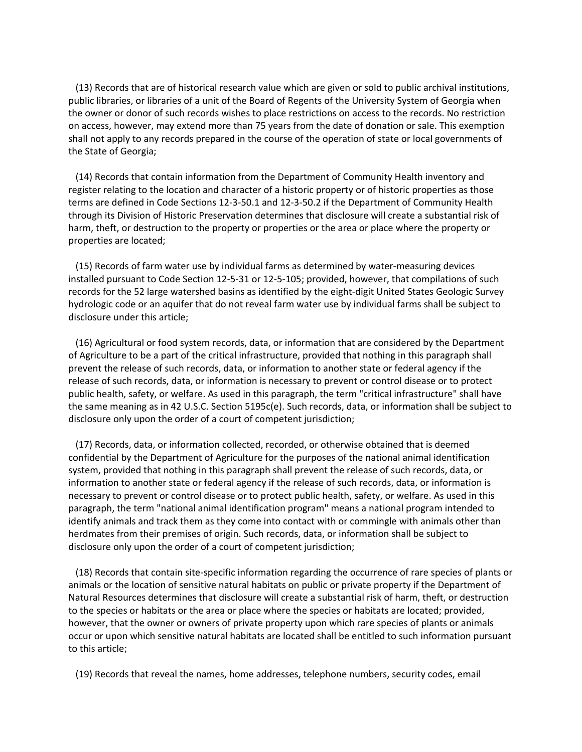(13) Records that are of historical research value which are given or sold to public archival institutions, public libraries, or libraries of a unit of the Board of Regents of the University System of Georgia when the owner or donor of such records wishes to place restrictions on access to the records. No restriction on access, however, may extend more than 75 years from the date of donation or sale. This exemption shall not apply to any records prepared in the course of the operation of state or local governments of the State of Georgia;

 (14) Records that contain information from the Department of Community Health inventory and register relating to the location and character of a historic property or of historic properties as those terms are defined in Code Sections 12‐3‐50.1 and 12‐3‐50.2 if the Department of Community Health through its Division of Historic Preservation determines that disclosure will create a substantial risk of harm, theft, or destruction to the property or properties or the area or place where the property or properties are located;

 (15) Records of farm water use by individual farms as determined by water‐measuring devices installed pursuant to Code Section 12‐5‐31 or 12‐5‐105; provided, however, that compilations of such records for the 52 large watershed basins as identified by the eight‐digit United States Geologic Survey hydrologic code or an aquifer that do not reveal farm water use by individual farms shall be subject to disclosure under this article;

 (16) Agricultural or food system records, data, or information that are considered by the Department of Agriculture to be a part of the critical infrastructure, provided that nothing in this paragraph shall prevent the release of such records, data, or information to another state or federal agency if the release of such records, data, or information is necessary to prevent or control disease or to protect public health, safety, or welfare. As used in this paragraph, the term "critical infrastructure" shall have the same meaning as in 42 U.S.C. Section 5195c(e). Such records, data, or information shall be subject to disclosure only upon the order of a court of competent jurisdiction;

 (17) Records, data, or information collected, recorded, or otherwise obtained that is deemed confidential by the Department of Agriculture for the purposes of the national animal identification system, provided that nothing in this paragraph shall prevent the release of such records, data, or information to another state or federal agency if the release of such records, data, or information is necessary to prevent or control disease or to protect public health, safety, or welfare. As used in this paragraph, the term "national animal identification program" means a national program intended to identify animals and track them as they come into contact with or commingle with animals other than herdmates from their premises of origin. Such records, data, or information shall be subject to disclosure only upon the order of a court of competent jurisdiction;

 (18) Records that contain site‐specific information regarding the occurrence of rare species of plants or animals or the location of sensitive natural habitats on public or private property if the Department of Natural Resources determines that disclosure will create a substantial risk of harm, theft, or destruction to the species or habitats or the area or place where the species or habitats are located; provided, however, that the owner or owners of private property upon which rare species of plants or animals occur or upon which sensitive natural habitats are located shall be entitled to such information pursuant to this article;

(19) Records that reveal the names, home addresses, telephone numbers, security codes, email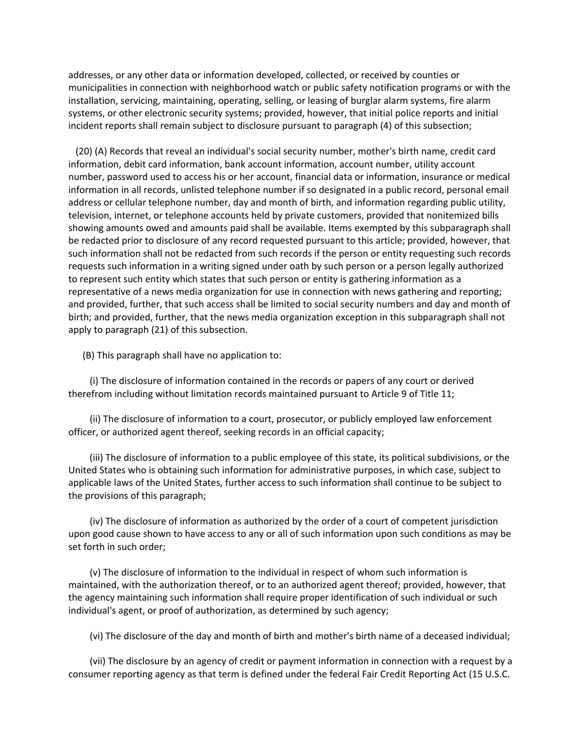addresses, or any other data or information developed, collected, or received by counties or municipalities in connection with neighborhood watch or public safety notification programs or with the installation, servicing, maintaining, operating, selling, or leasing of burglar alarm systems, fire alarm systems, or other electronic security systems; provided, however, that initial police reports and initial incident reports shall remain subject to disclosure pursuant to paragraph (4) of this subsection;

 (20) (A) Records that reveal an individual's social security number, mother's birth name, credit card information, debit card information, bank account information, account number, utility account number, password used to access his or her account, financial data or information, insurance or medical information in all records, unlisted telephone number if so designated in a public record, personal email address or cellular telephone number, day and month of birth, and information regarding public utility, television, internet, or telephone accounts held by private customers, provided that nonitemized bills showing amounts owed and amounts paid shall be available. Items exempted by this subparagraph shall be redacted prior to disclosure of any record requested pursuant to this article; provided, however, that such information shall not be redacted from such records if the person or entity requesting such records requests such information in a writing signed under oath by such person or a person legally authorized to represent such entity which states that such person or entity is gathering information as a representative of a news media organization for use in connection with news gathering and reporting; and provided, further, that such access shall be limited to social security numbers and day and month of birth; and provided, further, that the news media organization exception in this subparagraph shall not apply to paragraph (21) of this subsection.

(B) This paragraph shall have no application to:

 (i) The disclosure of information contained in the records or papers of any court or derived therefrom including without limitation records maintained pursuant to Article 9 of Title 11;

 (ii) The disclosure of information to a court, prosecutor, or publicly employed law enforcement officer, or authorized agent thereof, seeking records in an official capacity;

 (iii) The disclosure of information to a public employee of this state, its political subdivisions, or the United States who is obtaining such information for administrative purposes, in which case, subject to applicable laws of the United States, further access to such information shall continue to be subject to the provisions of this paragraph;

 (iv) The disclosure of information as authorized by the order of a court of competent jurisdiction upon good cause shown to have access to any or all of such information upon such conditions as may be set forth in such order;

 (v) The disclosure of information to the individual in respect of whom such information is maintained, with the authorization thereof, or to an authorized agent thereof; provided, however, that the agency maintaining such information shall require proper identification of such individual or such individual's agent, or proof of authorization, as determined by such agency;

(vi) The disclosure of the day and month of birth and mother's birth name of a deceased individual;

 (vii) The disclosure by an agency of credit or payment information in connection with a request by a consumer reporting agency as that term is defined under the federal Fair Credit Reporting Act (15 U.S.C.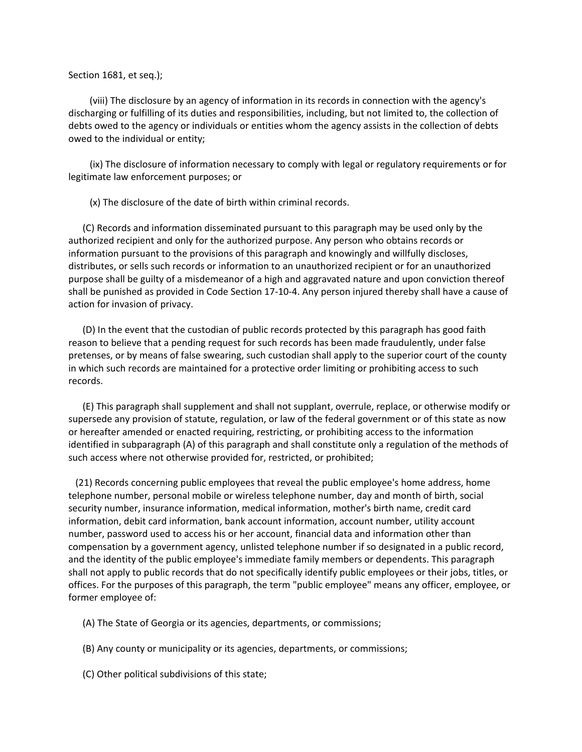#### Section 1681, et seq.);

 (viii) The disclosure by an agency of information in its records in connection with the agency's discharging or fulfilling of its duties and responsibilities, including, but not limited to, the collection of debts owed to the agency or individuals or entities whom the agency assists in the collection of debts owed to the individual or entity;

 (ix) The disclosure of information necessary to comply with legal or regulatory requirements or for legitimate law enforcement purposes; or

(x) The disclosure of the date of birth within criminal records.

 (C) Records and information disseminated pursuant to this paragraph may be used only by the authorized recipient and only for the authorized purpose. Any person who obtains records or information pursuant to the provisions of this paragraph and knowingly and willfully discloses, distributes, or sells such records or information to an unauthorized recipient or for an unauthorized purpose shall be guilty of a misdemeanor of a high and aggravated nature and upon conviction thereof shall be punished as provided in Code Section 17‐10‐4. Any person injured thereby shall have a cause of action for invasion of privacy.

 (D) In the event that the custodian of public records protected by this paragraph has good faith reason to believe that a pending request for such records has been made fraudulently, under false pretenses, or by means of false swearing, such custodian shall apply to the superior court of the county in which such records are maintained for a protective order limiting or prohibiting access to such records.

 (E) This paragraph shall supplement and shall not supplant, overrule, replace, or otherwise modify or supersede any provision of statute, regulation, or law of the federal government or of this state as now or hereafter amended or enacted requiring, restricting, or prohibiting access to the information identified in subparagraph (A) of this paragraph and shall constitute only a regulation of the methods of such access where not otherwise provided for, restricted, or prohibited;

 (21) Records concerning public employees that reveal the public employee's home address, home telephone number, personal mobile or wireless telephone number, day and month of birth, social security number, insurance information, medical information, mother's birth name, credit card information, debit card information, bank account information, account number, utility account number, password used to access his or her account, financial data and information other than compensation by a government agency, unlisted telephone number if so designated in a public record, and the identity of the public employee's immediate family members or dependents. This paragraph shall not apply to public records that do not specifically identify public employees or their jobs, titles, or offices. For the purposes of this paragraph, the term "public employee" means any officer, employee, or former employee of:

(A) The State of Georgia or its agencies, departments, or commissions;

(B) Any county or municipality or its agencies, departments, or commissions;

(C) Other political subdivisions of this state;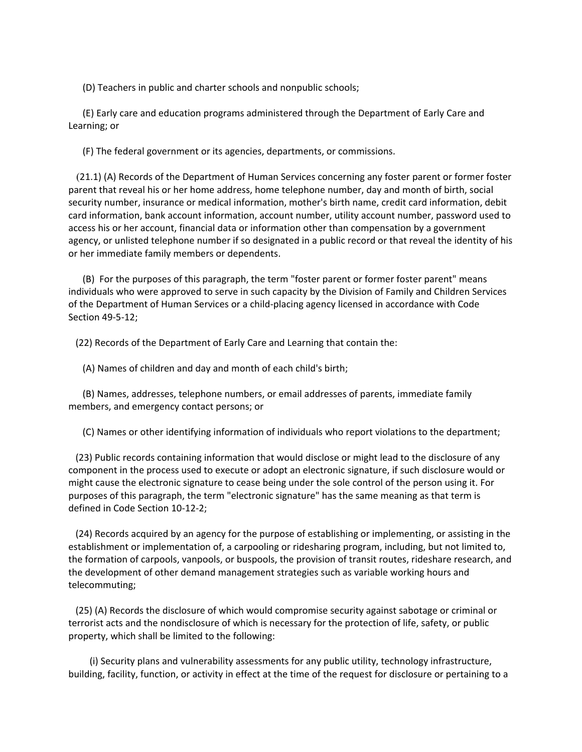(D) Teachers in public and charter schools and nonpublic schools;

 (E) Early care and education programs administered through the Department of Early Care and Learning; or

(F) The federal government or its agencies, departments, or commissions.

 (21.1) (A) Records of the Department of Human Services concerning any foster parent or former foster parent that reveal his or her home address, home telephone number, day and month of birth, social security number, insurance or medical information, mother's birth name, credit card information, debit card information, bank account information, account number, utility account number, password used to access his or her account, financial data or information other than compensation by a government agency, or unlisted telephone number if so designated in a public record or that reveal the identity of his or her immediate family members or dependents.

 (B) For the purposes of this paragraph, the term "foster parent or former foster parent" means individuals who were approved to serve in such capacity by the Division of Family and Children Services of the Department of Human Services or a child‐placing agency licensed in accordance with Code Section 49‐5‐12;

(22) Records of the Department of Early Care and Learning that contain the:

(A) Names of children and day and month of each child's birth;

 (B) Names, addresses, telephone numbers, or email addresses of parents, immediate family members, and emergency contact persons; or

(C) Names or other identifying information of individuals who report violations to the department;

 (23) Public records containing information that would disclose or might lead to the disclosure of any component in the process used to execute or adopt an electronic signature, if such disclosure would or might cause the electronic signature to cease being under the sole control of the person using it. For purposes of this paragraph, the term "electronic signature" has the same meaning as that term is defined in Code Section 10‐12‐2;

 (24) Records acquired by an agency for the purpose of establishing or implementing, or assisting in the establishment or implementation of, a carpooling or ridesharing program, including, but not limited to, the formation of carpools, vanpools, or buspools, the provision of transit routes, rideshare research, and the development of other demand management strategies such as variable working hours and telecommuting;

 (25) (A) Records the disclosure of which would compromise security against sabotage or criminal or terrorist acts and the nondisclosure of which is necessary for the protection of life, safety, or public property, which shall be limited to the following:

 (i) Security plans and vulnerability assessments for any public utility, technology infrastructure, building, facility, function, or activity in effect at the time of the request for disclosure or pertaining to a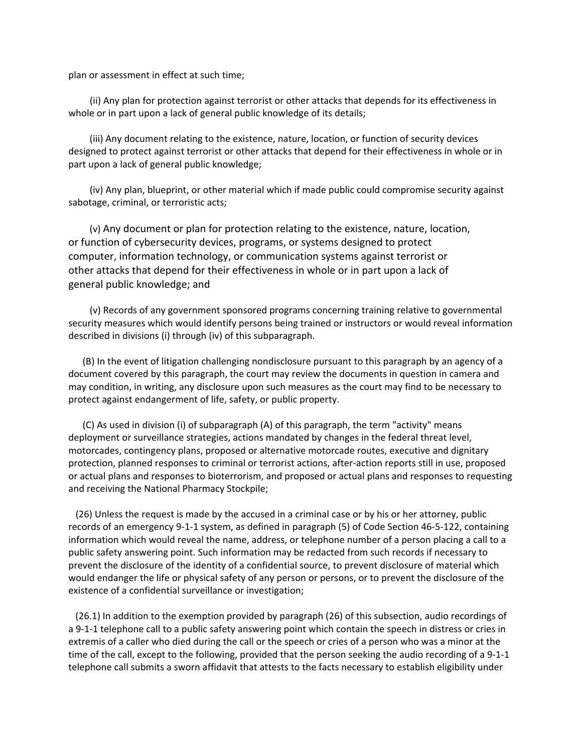plan or assessment in effect at such time;

 (ii) Any plan for protection against terrorist or other attacks that depends for its effectiveness in whole or in part upon a lack of general public knowledge of its details;

 (iii) Any document relating to the existence, nature, location, or function of security devices designed to protect against terrorist or other attacks that depend for their effectiveness in whole or in part upon a lack of general public knowledge;

 (iv) Any plan, blueprint, or other material which if made public could compromise security against sabotage, criminal, or terroristic acts;

 (v) Any document or plan for protection relating to the existence, nature, location, or function of cybersecurity devices, programs, or systems designed to protect computer, information technology, or communication systems against terrorist or other attacks that depend for their effectiveness in whole or in part upon a lack of general public knowledge; and

 (v) Records of any government sponsored programs concerning training relative to governmental security measures which would identify persons being trained or instructors or would reveal information described in divisions (i) through (iv) of this subparagraph.

 (B) In the event of litigation challenging nondisclosure pursuant to this paragraph by an agency of a document covered by this paragraph, the court may review the documents in question in camera and may condition, in writing, any disclosure upon such measures as the court may find to be necessary to protect against endangerment of life, safety, or public property.

 (C) As used in division (i) of subparagraph (A) of this paragraph, the term "activity" means deployment or surveillance strategies, actions mandated by changes in the federal threat level, motorcades, contingency plans, proposed or alternative motorcade routes, executive and dignitary protection, planned responses to criminal or terrorist actions, after‐action reports still in use, proposed or actual plans and responses to bioterrorism, and proposed or actual plans and responses to requesting and receiving the National Pharmacy Stockpile;

 (26) Unless the request is made by the accused in a criminal case or by his or her attorney, public records of an emergency 9‐1‐1 system, as defined in paragraph (5) of Code Section 46‐5‐122, containing information which would reveal the name, address, or telephone number of a person placing a call to a public safety answering point. Such information may be redacted from such records if necessary to prevent the disclosure of the identity of a confidential source, to prevent disclosure of material which would endanger the life or physical safety of any person or persons, or to prevent the disclosure of the existence of a confidential surveillance or investigation;

 (26.1) In addition to the exemption provided by paragraph (26) of this subsection, audio recordings of a 9‐1‐1 telephone call to a public safety answering point which contain the speech in distress or cries in extremis of a caller who died during the call or the speech or cries of a person who was a minor at the time of the call, except to the following, provided that the person seeking the audio recording of a 9‐1‐1 telephone call submits a sworn affidavit that attests to the facts necessary to establish eligibility under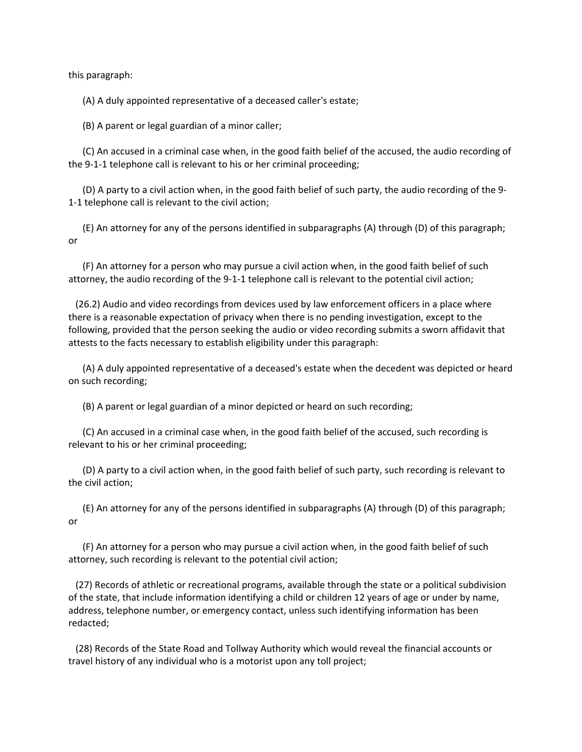this paragraph:

(A) A duly appointed representative of a deceased caller's estate;

(B) A parent or legal guardian of a minor caller;

 (C) An accused in a criminal case when, in the good faith belief of the accused, the audio recording of the 9‐1‐1 telephone call is relevant to his or her criminal proceeding;

 (D) A party to a civil action when, in the good faith belief of such party, the audio recording of the 9‐ 1‐1 telephone call is relevant to the civil action;

 (E) An attorney for any of the persons identified in subparagraphs (A) through (D) of this paragraph; or

 (F) An attorney for a person who may pursue a civil action when, in the good faith belief of such attorney, the audio recording of the 9‐1‐1 telephone call is relevant to the potential civil action;

 (26.2) Audio and video recordings from devices used by law enforcement officers in a place where there is a reasonable expectation of privacy when there is no pending investigation, except to the following, provided that the person seeking the audio or video recording submits a sworn affidavit that attests to the facts necessary to establish eligibility under this paragraph:

 (A) A duly appointed representative of a deceased's estate when the decedent was depicted or heard on such recording;

(B) A parent or legal guardian of a minor depicted or heard on such recording;

 (C) An accused in a criminal case when, in the good faith belief of the accused, such recording is relevant to his or her criminal proceeding;

 (D) A party to a civil action when, in the good faith belief of such party, such recording is relevant to the civil action;

 (E) An attorney for any of the persons identified in subparagraphs (A) through (D) of this paragraph; or

 (F) An attorney for a person who may pursue a civil action when, in the good faith belief of such attorney, such recording is relevant to the potential civil action;

 (27) Records of athletic or recreational programs, available through the state or a political subdivision of the state, that include information identifying a child or children 12 years of age or under by name, address, telephone number, or emergency contact, unless such identifying information has been redacted;

 (28) Records of the State Road and Tollway Authority which would reveal the financial accounts or travel history of any individual who is a motorist upon any toll project;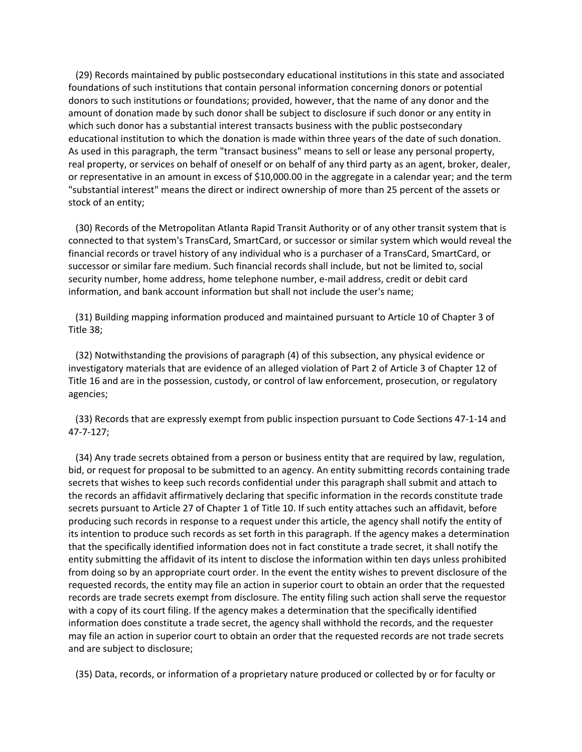(29) Records maintained by public postsecondary educational institutions in this state and associated foundations of such institutions that contain personal information concerning donors or potential donors to such institutions or foundations; provided, however, that the name of any donor and the amount of donation made by such donor shall be subject to disclosure if such donor or any entity in which such donor has a substantial interest transacts business with the public postsecondary educational institution to which the donation is made within three years of the date of such donation. As used in this paragraph, the term "transact business" means to sell or lease any personal property, real property, or services on behalf of oneself or on behalf of any third party as an agent, broker, dealer, or representative in an amount in excess of \$10,000.00 in the aggregate in a calendar year; and the term "substantial interest" means the direct or indirect ownership of more than 25 percent of the assets or stock of an entity;

 (30) Records of the Metropolitan Atlanta Rapid Transit Authority or of any other transit system that is connected to that system's TransCard, SmartCard, or successor or similar system which would reveal the financial records or travel history of any individual who is a purchaser of a TransCard, SmartCard, or successor or similar fare medium. Such financial records shall include, but not be limited to, social security number, home address, home telephone number, e-mail address, credit or debit card information, and bank account information but shall not include the user's name;

 (31) Building mapping information produced and maintained pursuant to Article 10 of Chapter 3 of Title 38;

 (32) Notwithstanding the provisions of paragraph (4) of this subsection, any physical evidence or investigatory materials that are evidence of an alleged violation of Part 2 of Article 3 of Chapter 12 of Title 16 and are in the possession, custody, or control of law enforcement, prosecution, or regulatory agencies;

 (33) Records that are expressly exempt from public inspection pursuant to Code Sections 47‐1‐14 and 47‐7‐127;

 (34) Any trade secrets obtained from a person or business entity that are required by law, regulation, bid, or request for proposal to be submitted to an agency. An entity submitting records containing trade secrets that wishes to keep such records confidential under this paragraph shall submit and attach to the records an affidavit affirmatively declaring that specific information in the records constitute trade secrets pursuant to Article 27 of Chapter 1 of Title 10. If such entity attaches such an affidavit, before producing such records in response to a request under this article, the agency shall notify the entity of its intention to produce such records as set forth in this paragraph. If the agency makes a determination that the specifically identified information does not in fact constitute a trade secret, it shall notify the entity submitting the affidavit of its intent to disclose the information within ten days unless prohibited from doing so by an appropriate court order. In the event the entity wishes to prevent disclosure of the requested records, the entity may file an action in superior court to obtain an order that the requested records are trade secrets exempt from disclosure. The entity filing such action shall serve the requestor with a copy of its court filing. If the agency makes a determination that the specifically identified information does constitute a trade secret, the agency shall withhold the records, and the requester may file an action in superior court to obtain an order that the requested records are not trade secrets and are subject to disclosure;

(35) Data, records, or information of a proprietary nature produced or collected by or for faculty or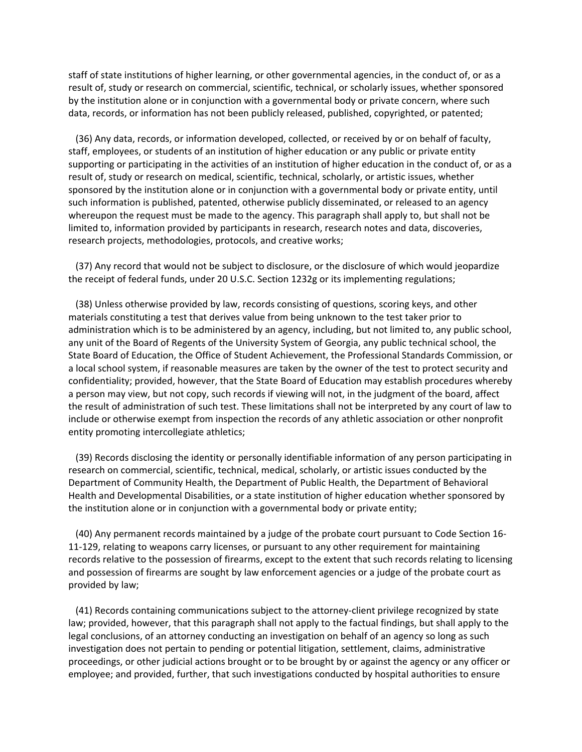staff of state institutions of higher learning, or other governmental agencies, in the conduct of, or as a result of, study or research on commercial, scientific, technical, or scholarly issues, whether sponsored by the institution alone or in conjunction with a governmental body or private concern, where such data, records, or information has not been publicly released, published, copyrighted, or patented;

 (36) Any data, records, or information developed, collected, or received by or on behalf of faculty, staff, employees, or students of an institution of higher education or any public or private entity supporting or participating in the activities of an institution of higher education in the conduct of, or as a result of, study or research on medical, scientific, technical, scholarly, or artistic issues, whether sponsored by the institution alone or in conjunction with a governmental body or private entity, until such information is published, patented, otherwise publicly disseminated, or released to an agency whereupon the request must be made to the agency. This paragraph shall apply to, but shall not be limited to, information provided by participants in research, research notes and data, discoveries, research projects, methodologies, protocols, and creative works;

 (37) Any record that would not be subject to disclosure, or the disclosure of which would jeopardize the receipt of federal funds, under 20 U.S.C. Section 1232g or its implementing regulations;

 (38) Unless otherwise provided by law, records consisting of questions, scoring keys, and other materials constituting a test that derives value from being unknown to the test taker prior to administration which is to be administered by an agency, including, but not limited to, any public school, any unit of the Board of Regents of the University System of Georgia, any public technical school, the State Board of Education, the Office of Student Achievement, the Professional Standards Commission, or a local school system, if reasonable measures are taken by the owner of the test to protect security and confidentiality; provided, however, that the State Board of Education may establish procedures whereby a person may view, but not copy, such records if viewing will not, in the judgment of the board, affect the result of administration of such test. These limitations shall not be interpreted by any court of law to include or otherwise exempt from inspection the records of any athletic association or other nonprofit entity promoting intercollegiate athletics;

 (39) Records disclosing the identity or personally identifiable information of any person participating in research on commercial, scientific, technical, medical, scholarly, or artistic issues conducted by the Department of Community Health, the Department of Public Health, the Department of Behavioral Health and Developmental Disabilities, or a state institution of higher education whether sponsored by the institution alone or in conjunction with a governmental body or private entity;

 (40) Any permanent records maintained by a judge of the probate court pursuant to Code Section 16‐ 11-129, relating to weapons carry licenses, or pursuant to any other requirement for maintaining records relative to the possession of firearms, except to the extent that such records relating to licensing and possession of firearms are sought by law enforcement agencies or a judge of the probate court as provided by law;

 (41) Records containing communications subject to the attorney‐client privilege recognized by state law; provided, however, that this paragraph shall not apply to the factual findings, but shall apply to the legal conclusions, of an attorney conducting an investigation on behalf of an agency so long as such investigation does not pertain to pending or potential litigation, settlement, claims, administrative proceedings, or other judicial actions brought or to be brought by or against the agency or any officer or employee; and provided, further, that such investigations conducted by hospital authorities to ensure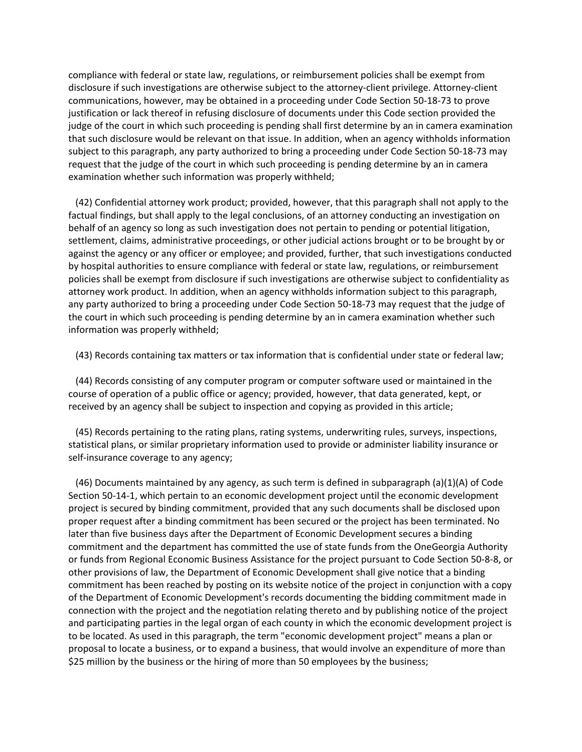compliance with federal or state law, regulations, or reimbursement policies shall be exempt from disclosure if such investigations are otherwise subject to the attorney-client privilege. Attorney-client communications, however, may be obtained in a proceeding under Code Section 50‐18‐73 to prove justification or lack thereof in refusing disclosure of documents under this Code section provided the judge of the court in which such proceeding is pending shall first determine by an in camera examination that such disclosure would be relevant on that issue. In addition, when an agency withholds information subject to this paragraph, any party authorized to bring a proceeding under Code Section 50‐18‐73 may request that the judge of the court in which such proceeding is pending determine by an in camera examination whether such information was properly withheld;

 (42) Confidential attorney work product; provided, however, that this paragraph shall not apply to the factual findings, but shall apply to the legal conclusions, of an attorney conducting an investigation on behalf of an agency so long as such investigation does not pertain to pending or potential litigation, settlement, claims, administrative proceedings, or other judicial actions brought or to be brought by or against the agency or any officer or employee; and provided, further, that such investigations conducted by hospital authorities to ensure compliance with federal or state law, regulations, or reimbursement policies shall be exempt from disclosure if such investigations are otherwise subject to confidentiality as attorney work product. In addition, when an agency withholds information subject to this paragraph, any party authorized to bring a proceeding under Code Section 50‐18‐73 may request that the judge of the court in which such proceeding is pending determine by an in camera examination whether such information was properly withheld;

(43) Records containing tax matters or tax information that is confidential under state or federal law;

 (44) Records consisting of any computer program or computer software used or maintained in the course of operation of a public office or agency; provided, however, that data generated, kept, or received by an agency shall be subject to inspection and copying as provided in this article;

 (45) Records pertaining to the rating plans, rating systems, underwriting rules, surveys, inspections, statistical plans, or similar proprietary information used to provide or administer liability insurance or self-insurance coverage to any agency;

 (46) Documents maintained by any agency, as such term is defined in subparagraph (a)(1)(A) of Code Section 50‐14‐1, which pertain to an economic development project until the economic development project is secured by binding commitment, provided that any such documents shall be disclosed upon proper request after a binding commitment has been secured or the project has been terminated. No later than five business days after the Department of Economic Development secures a binding commitment and the department has committed the use of state funds from the OneGeorgia Authority or funds from Regional Economic Business Assistance for the project pursuant to Code Section 50‐8‐8, or other provisions of law, the Department of Economic Development shall give notice that a binding commitment has been reached by posting on its website notice of the project in conjunction with a copy of the Department of Economic Development's records documenting the bidding commitment made in connection with the project and the negotiation relating thereto and by publishing notice of the project and participating parties in the legal organ of each county in which the economic development project is to be located. As used in this paragraph, the term "economic development project" means a plan or proposal to locate a business, or to expand a business, that would involve an expenditure of more than \$25 million by the business or the hiring of more than 50 employees by the business;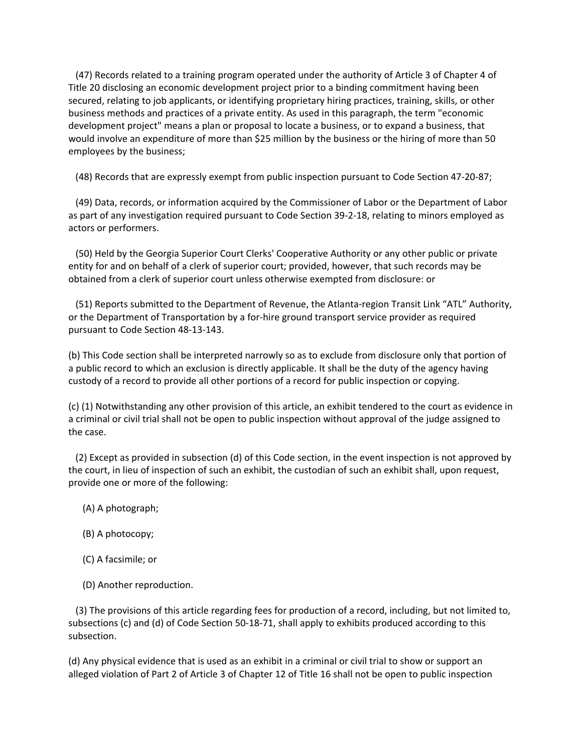(47) Records related to a training program operated under the authority of Article 3 of Chapter 4 of Title 20 disclosing an economic development project prior to a binding commitment having been secured, relating to job applicants, or identifying proprietary hiring practices, training, skills, or other business methods and practices of a private entity. As used in this paragraph, the term "economic development project" means a plan or proposal to locate a business, or to expand a business, that would involve an expenditure of more than \$25 million by the business or the hiring of more than 50 employees by the business;

(48) Records that are expressly exempt from public inspection pursuant to Code Section 47‐20‐87;

 (49) Data, records, or information acquired by the Commissioner of Labor or the Department of Labor as part of any investigation required pursuant to Code Section 39‐2‐18, relating to minors employed as actors or performers.

 (50) Held by the Georgia Superior Court Clerks' Cooperative Authority or any other public or private entity for and on behalf of a clerk of superior court; provided, however, that such records may be obtained from a clerk of superior court unless otherwise exempted from disclosure: or

 (51) Reports submitted to the Department of Revenue, the Atlanta‐region Transit Link "ATL" Authority, or the Department of Transportation by a for‐hire ground transport service provider as required pursuant to Code Section 48‐13‐143.

(b) This Code section shall be interpreted narrowly so as to exclude from disclosure only that portion of a public record to which an exclusion is directly applicable. It shall be the duty of the agency having custody of a record to provide all other portions of a record for public inspection or copying.

(c) (1) Notwithstanding any other provision of this article, an exhibit tendered to the court as evidence in a criminal or civil trial shall not be open to public inspection without approval of the judge assigned to the case.

 (2) Except as provided in subsection (d) of this Code section, in the event inspection is not approved by the court, in lieu of inspection of such an exhibit, the custodian of such an exhibit shall, upon request, provide one or more of the following:

- (A) A photograph;
- (B) A photocopy;
- (C) A facsimile; or
- (D) Another reproduction.

 (3) The provisions of this article regarding fees for production of a record, including, but not limited to, subsections (c) and (d) of Code Section 50‐18‐71, shall apply to exhibits produced according to this subsection.

(d) Any physical evidence that is used as an exhibit in a criminal or civil trial to show or support an alleged violation of Part 2 of Article 3 of Chapter 12 of Title 16 shall not be open to public inspection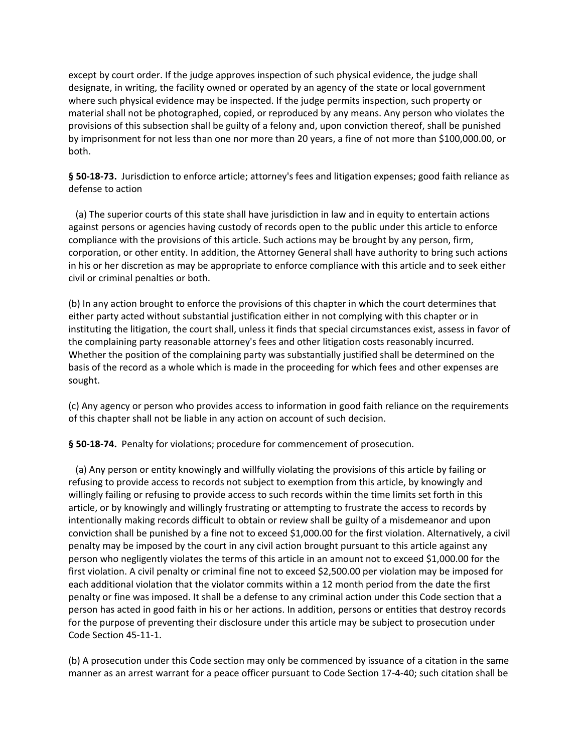except by court order. If the judge approves inspection of such physical evidence, the judge shall designate, in writing, the facility owned or operated by an agency of the state or local government where such physical evidence may be inspected. If the judge permits inspection, such property or material shall not be photographed, copied, or reproduced by any means. Any person who violates the provisions of this subsection shall be guilty of a felony and, upon conviction thereof, shall be punished by imprisonment for not less than one nor more than 20 years, a fine of not more than \$100,000.00, or both.

§ 50-18-73. Jurisdiction to enforce article; attorney's fees and litigation expenses; good faith reliance as defense to action

 (a) The superior courts of this state shall have jurisdiction in law and in equity to entertain actions against persons or agencies having custody of records open to the public under this article to enforce compliance with the provisions of this article. Such actions may be brought by any person, firm, corporation, or other entity. In addition, the Attorney General shall have authority to bring such actions in his or her discretion as may be appropriate to enforce compliance with this article and to seek either civil or criminal penalties or both.

(b) In any action brought to enforce the provisions of this chapter in which the court determines that either party acted without substantial justification either in not complying with this chapter or in instituting the litigation, the court shall, unless it finds that special circumstances exist, assess in favor of the complaining party reasonable attorney's fees and other litigation costs reasonably incurred. Whether the position of the complaining party was substantially justified shall be determined on the basis of the record as a whole which is made in the proceeding for which fees and other expenses are sought.

(c) Any agency or person who provides access to information in good faith reliance on the requirements of this chapter shall not be liable in any action on account of such decision.

§ 50-18-74. Penalty for violations; procedure for commencement of prosecution.

 (a) Any person or entity knowingly and willfully violating the provisions of this article by failing or refusing to provide access to records not subject to exemption from this article, by knowingly and willingly failing or refusing to provide access to such records within the time limits set forth in this article, or by knowingly and willingly frustrating or attempting to frustrate the access to records by intentionally making records difficult to obtain or review shall be guilty of a misdemeanor and upon conviction shall be punished by a fine not to exceed \$1,000.00 for the first violation. Alternatively, a civil penalty may be imposed by the court in any civil action brought pursuant to this article against any person who negligently violates the terms of this article in an amount not to exceed \$1,000.00 for the first violation. A civil penalty or criminal fine not to exceed \$2,500.00 per violation may be imposed for each additional violation that the violator commits within a 12 month period from the date the first penalty or fine was imposed. It shall be a defense to any criminal action under this Code section that a person has acted in good faith in his or her actions. In addition, persons or entities that destroy records for the purpose of preventing their disclosure under this article may be subject to prosecution under Code Section 45‐11‐1.

(b) A prosecution under this Code section may only be commenced by issuance of a citation in the same manner as an arrest warrant for a peace officer pursuant to Code Section 17‐4‐40; such citation shall be